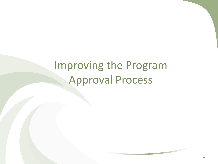# Improving the Program Approval Process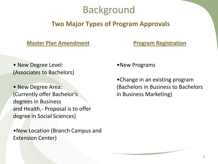#### Background

#### **Two Major Types of Program Approvals**

#### **Master Plan Amendment**

#### **Program Registration**

• New Degree Level: (Associates to Bachelors)

• New Degree Area: (Currently offer Bachelor's degrees in Business and Health,- Proposal is to offer degree in Social Sciences)

•New Location (Branch Campus and Extension Center)

•New Programs

•Change in an existing program (Bachelors in Business to Bachelors in Business Marketing)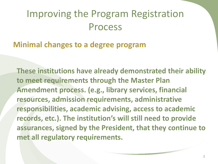#### **Minimal changes to a degree program**

**These institutions have already demonstrated their ability to meet requirements through the Master Plan Amendment process. (e.g., library services, financial resources, admission requirements, administrative responsibilities, academic advising, access to academic records, etc.). The institution's will still need to provide assurances, signed by the President, that they continue to met all regulatory requirements.**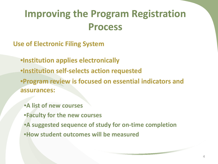- **Use of Electronic Filing System**
	- •**Institution applies electronically**
	- •**Institution self-selects action requested**

•**Program review is focused on essential indicators and assurances:**

- •**A list of new courses** •**Faculty for the new courses** •**A suggested sequence of study for on-time completion**
- •**How student outcomes will be measured**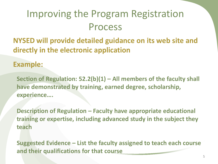**NYSED will provide detailed guidance on its web site and directly in the electronic application**

#### **Example:**

**Section of Regulation: 52.2(b)(1) – All members of the faculty shall have demonstrated by training, earned degree, scholarship, experience….**

**Description of Regulation – Faculty have appropriate educational training or expertise, including advanced study in the subject they teach**

**Suggested Evidence – List the faculty assigned to teach each course and their qualifications for that course**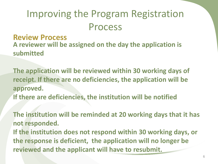**Review Process A reviewer will be assigned on the day the application is submitted**

**The application will be reviewed within 30 working days of receipt. If there are no deficiencies, the application will be approved. If there are deficiencies, the institution will be notified**

**The institution will be reminded at 20 working days that it has not responded. If the institution does not respond within 30 working days, or the response is deficient, the application will no longer be reviewed and the applicant will have to resubmit.**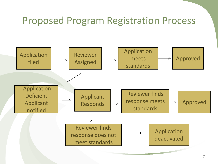#### Proposed Program Registration Process

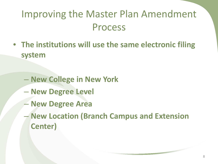- **The institutions will use the same electronic filing system**
	- **New College in New York**
	- **New Degree Level**
	- **New Degree Area**
	- **New Location (Branch Campus and Extension Center)**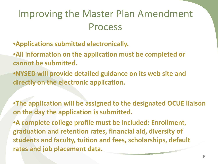- •**Applications submitted electronically.**
- •**All information on the application must be completed or cannot be submitted.**
- •**NYSED will provide detailed guidance on its web site and directly on the electronic application.**
- •**The application will be assigned to the designated OCUE liaison on the day the application is submitted.**
- •**A complete college profile must be included: Enrollment, graduation and retention rates, financial aid, diversity of students and faculty, tuition and fees, scholarships, default rates and job placement data.**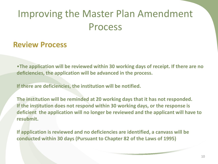#### **Review Process**

•**The application will be reviewed within 30 working days of receipt. If there are no deficiencies, the application will be advanced in the process.**

**If there are deficiencies, the institution will be notified.**

**The institution will be reminded at 20 working days that it has not responded. If the institution does not respond within 30 working days, or the response is deficient the application will no longer be reviewed and the applicant will have to resubmit.**

**If application is reviewed and no deficiencies are identified, a canvass will be conducted within 30 days (Pursuant to Chapter 82 of the Laws of 1995)**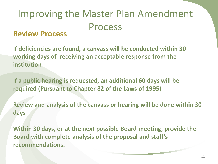#### **Review Process**

**If deficiencies are found, a canvass will be conducted within 30 working days of receiving an acceptable response from the institution**

**If a public hearing is requested, an additional 60 days will be required (Pursuant to Chapter 82 of the Laws of 1995)**

**Review and analysis of the canvass or hearing will be done within 30 days**

**Within 30 days, or at the next possible Board meeting, provide the Board with complete analysis of the proposal and staff's recommendations.**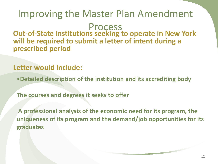**Out-of-State Institutions seeking to operate in New York will be required to submit a letter of intent during a prescribed period**

#### **Letter would include:**

•**Detailed description of the institution and its accrediting body**

**The courses and degrees it seeks to offer**

**A professional analysis of the economic need for its program, the uniqueness of its program and the demand/job opportunities for its graduates**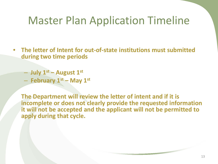## Master Plan Application Timeline

- **The letter of Intent for out-of-state institutions must submitted during two time periods**
	- **July 1st – August 1st**
	- **February 1st – May 1st**

**The Department will review the letter of intent and if it is incomplete or does not clearly provide the requested information it will not be accepted and the applicant will not be permitted to apply during that cycle.**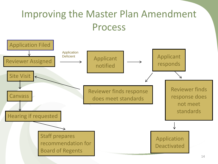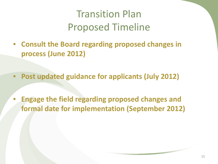### Transition Plan Proposed Timeline

- **Consult the Board regarding proposed changes in process (June 2012)**
- **Post updated guidance for applicants (July 2012)**
- **Engage the field regarding proposed changes and formal date for implementation (September 2012)**